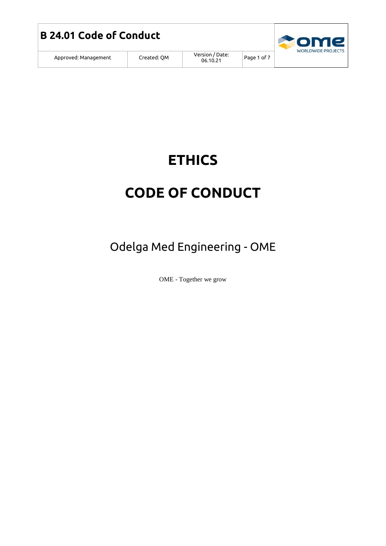



Page 1 of 7

# **ETHICS**

## **CODE OF CONDUCT**

Odelga Med Engineering - OME

OME - Together we grow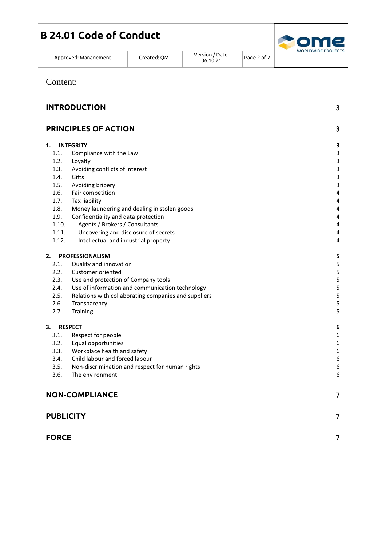|  | <b>B 24.01 Code of Conduct</b> |
|--|--------------------------------|
|  |                                |



Approved: Management | Created: QM

Version / Date: Page 2 of 7

Content:

| <b>INTRODUCTION</b> |                                                      | 3                         |
|---------------------|------------------------------------------------------|---------------------------|
|                     | <b>PRINCIPLES OF ACTION</b>                          | 3                         |
| 1.                  | <b>INTEGRITY</b>                                     | 3                         |
| 1.1.                | Compliance with the Law                              | $\ensuremath{\mathsf{3}}$ |
| 1.2.                | Loyalty                                              | $\ensuremath{\mathsf{3}}$ |
| 1.3.                | Avoiding conflicts of interest                       | $\mathsf 3$               |
| 1.4.                | Gifts                                                | $\ensuremath{\mathsf{3}}$ |
| 1.5.                | Avoiding bribery                                     | $\ensuremath{\mathsf{3}}$ |
| 1.6.                | Fair competition                                     | 4                         |
| 1.7.                | Tax liability                                        | 4                         |
| 1.8.                | Money laundering and dealing in stolen goods         | 4                         |
| 1.9.                | Confidentiality and data protection                  | 4                         |
| 1.10.               | Agents / Brokers / Consultants                       | 4                         |
| 1.11.               | Uncovering and disclosure of secrets                 | 4                         |
| 1.12.               | Intellectual and industrial property                 | 4                         |
| 2.                  | <b>PROFESSIONALISM</b>                               | 5                         |
| 2.1.                | Quality and innovation                               | 5                         |
| 2.2.                | Customer oriented                                    | 5                         |
| 2.3.                | Use and protection of Company tools                  | 5                         |
| 2.4.                | Use of information and communication technology      | 5                         |
| 2.5.                | Relations with collaborating companies and suppliers | 5                         |
| 2.6.                | Transparency                                         | 5                         |
| 2.7.                | Training                                             | 5                         |
| 3.                  | <b>RESPECT</b>                                       | 6                         |
| 3.1.                | Respect for people                                   | $\boldsymbol{6}$          |
| 3.2.                | Equal opportunities                                  | $\boldsymbol{6}$          |
| 3.3.                | Workplace health and safety                          | 6                         |
| 3.4.                | Child labour and forced labour                       | 6                         |
| 3.5.                | Non-discrimination and respect for human rights      | $\boldsymbol{6}$          |
| 3.6.                | The environment                                      | 6                         |
|                     | <b>NON-COMPLIANCE</b>                                | 7                         |
| <b>PUBLICITY</b>    |                                                      | $\overline{7}$            |
| <b>FORCE</b>        |                                                      | $\overline{7}$            |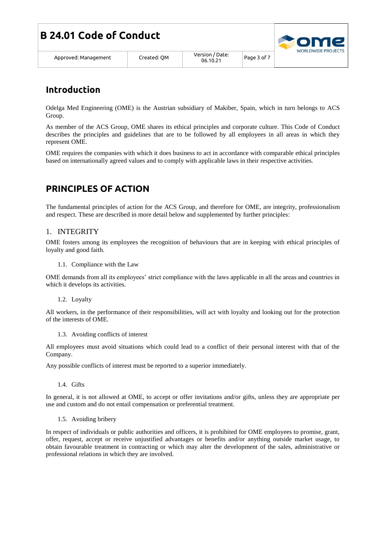|  | Approved: Management |
|--|----------------------|
|--|----------------------|

## <span id="page-2-0"></span>**Introduction**

Odelga Med Engineering (OME) is the Austrian subsidiary of Makiber, Spain, which in turn belongs to ACS Group.

As member of the ACS Group, OME shares its ethical principles and corporate culture. This Code of Conduct describes the principles and guidelines that are to be followed by all employees in all areas in which they represent OME.

OME requires the companies with which it does business to act in accordance with comparable ethical principles based on internationally agreed values and to comply with applicable laws in their respective activities.

## <span id="page-2-1"></span>**PRINCIPLES OF ACTION**

The fundamental principles of action for the ACS Group, and therefore for OME, are integrity, professionalism and respect. These are described in more detail below and supplemented by further principles:

#### <span id="page-2-2"></span>1. INTEGRITY

OME fosters among its employees the recognition of behaviours that are in keeping with ethical principles of loyalty and good faith.

#### 1.1. Compliance with the Law

<span id="page-2-3"></span>OME demands from all its employees' strict compliance with the laws applicable in all the areas and countries in which it develops its activities.

1.2. Loyalty

<span id="page-2-4"></span>All workers, in the performance of their responsibilities, will act with loyalty and looking out for the protection of the interests of OME.

1.3. Avoiding conflicts of interest

<span id="page-2-5"></span>All employees must avoid situations which could lead to a conflict of their personal interest with that of the Company.

Any possible conflicts of interest must be reported to a superior immediately.

1.4. Gifts

<span id="page-2-6"></span>In general, it is not allowed at OME, to accept or offer invitations and/or gifts, unless they are appropriate per use and custom and do not entail compensation or preferential treatment.

1.5. Avoiding bribery

<span id="page-2-7"></span>In respect of individuals or public authorities and officers, it is prohibited for OME employees to promise, grant, offer, request, accept or receive unjustified advantages or benefits and/or anything outside market usage, to obtain favourable treatment in contracting or which may alter the development of the sales, administrative or professional relations in which they are involved.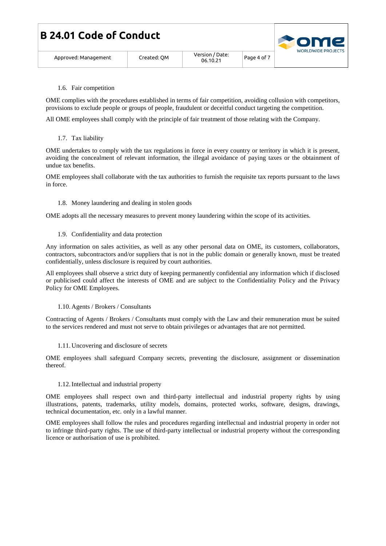| <b>B 24.01 Code of Conduct</b> |  |
|--------------------------------|--|
|--------------------------------|--|



| Approved: Managemen |
|---------------------|
|                     |

1.6. Fair competition

<span id="page-3-0"></span>OME complies with the procedures established in terms of fair competition, avoiding collusion with competitors, provisions to exclude people or groups of people, fraudulent or deceitful conduct targeting the competition.

All OME employees shall comply with the principle of fair treatment of those relating with the Company.

1.7. Tax liability

<span id="page-3-1"></span>OME undertakes to comply with the tax regulations in force in every country or territory in which it is present, avoiding the concealment of relevant information, the illegal avoidance of paying taxes or the obtainment of undue tax benefits.

OME employees shall collaborate with the tax authorities to furnish the requisite tax reports pursuant to the laws in force.

1.8. Money laundering and dealing in stolen goods

<span id="page-3-2"></span>OME adopts all the necessary measures to prevent money laundering within the scope of its activities.

1.9. Confidentiality and data protection

<span id="page-3-3"></span>Any information on sales activities, as well as any other personal data on OME, its customers, collaborators, contractors, subcontractors and/or suppliers that is not in the public domain or generally known, must be treated confidentially, unless disclosure is required by court authorities.

All employees shall observe a strict duty of keeping permanently confidential any information which if disclosed or publicised could affect the interests of OME and are subject to the Confidentiality Policy and the Privacy Policy for OME Employees.

1.10. Agents / Brokers / Consultants

<span id="page-3-4"></span>Contracting of Agents / Brokers / Consultants must comply with the Law and their remuneration must be suited to the services rendered and must not serve to obtain privileges or advantages that are not permitted.

1.11. Uncovering and disclosure of secrets

<span id="page-3-5"></span>OME employees shall safeguard Company secrets, preventing the disclosure, assignment or dissemination thereof.

#### 1.12.Intellectual and industrial property

<span id="page-3-6"></span>OME employees shall respect own and third-party intellectual and industrial property rights by using illustrations, patents, trademarks, utility models, domains, protected works, software, designs, drawings, technical documentation, etc. only in a lawful manner.

OME employees shall follow the rules and procedures regarding intellectual and industrial property in order not to infringe third-party rights. The use of third-party intellectual or industrial property without the corresponding licence or authorisation of use is prohibited.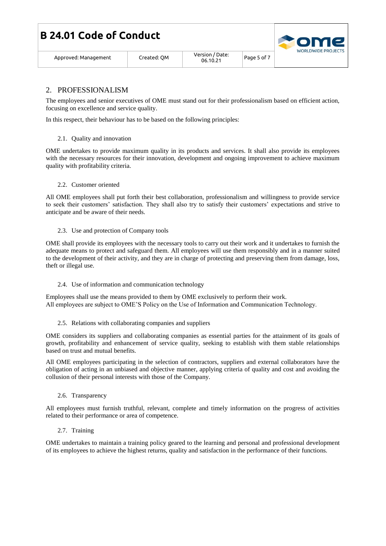|  | <b>B 24.01 Code of Conduct</b> |
|--|--------------------------------|
|  |                                |

Approved: Management Created: QM Version / Date:

#### <span id="page-4-0"></span>2. PROFESSIONALISM

The employees and senior executives of OME must stand out for their professionalism based on efficient action, focusing on excellence and service quality.

In this respect, their behaviour has to be based on the following principles:

#### 2.1. Quality and innovation

<span id="page-4-1"></span>OME undertakes to provide maximum quality in its products and services. It shall also provide its employees with the necessary resources for their innovation, development and ongoing improvement to achieve maximum quality with profitability criteria.

#### <span id="page-4-2"></span>2.2. Customer oriented

All OME employees shall put forth their best collaboration, professionalism and willingness to provide service to seek their customers' satisfaction. They shall also try to satisfy their customers' expectations and strive to anticipate and be aware of their needs.

#### 2.3. Use and protection of Company tools

<span id="page-4-3"></span>OME shall provide its employees with the necessary tools to carry out their work and it undertakes to furnish the adequate means to protect and safeguard them. All employees will use them responsibly and in a manner suited to the development of their activity, and they are in charge of protecting and preserving them from damage, loss, theft or illegal use.

#### 2.4. Use of information and communication technology

<span id="page-4-4"></span>Employees shall use the means provided to them by OME exclusively to perform their work. All employees are subject to OME'S Policy on the Use of Information and Communication Technology.

<span id="page-4-5"></span>2.5. Relations with collaborating companies and suppliers

OME considers its suppliers and collaborating companies as essential parties for the attainment of its goals of growth, profitability and enhancement of service quality, seeking to establish with them stable relationships based on trust and mutual benefits.

All OME employees participating in the selection of contractors, suppliers and external collaborators have the obligation of acting in an unbiased and objective manner, applying criteria of quality and cost and avoiding the collusion of their personal interests with those of the Company.

#### 2.6. Transparency

<span id="page-4-6"></span>All employees must furnish truthful, relevant, complete and timely information on the progress of activities related to their performance or area of competence.

2.7. Training

<span id="page-4-7"></span>OME undertakes to maintain a training policy geared to the learning and personal and professional development of its employees to achieve the highest returns, quality and satisfaction in the performance of their functions.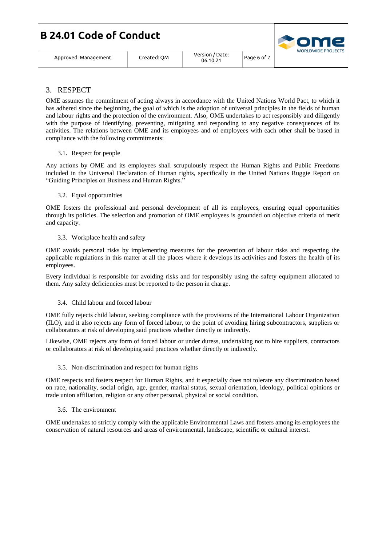|  |  |  | <b>B 24.01 Code of Conduct</b> |  |  |
|--|--|--|--------------------------------|--|--|
|--|--|--|--------------------------------|--|--|



Approved: Management Created: QM Version / Date:

#### <span id="page-5-0"></span>3. RESPECT

OME assumes the commitment of acting always in accordance with the United Nations World Pact, to which it has adhered since the beginning, the goal of which is the adoption of universal principles in the fields of human and labour rights and the protection of the environment. Also, OME undertakes to act responsibly and diligently with the purpose of identifying, preventing, mitigating and responding to any negative consequences of its activities. The relations between OME and its employees and of employees with each other shall be based in compliance with the following commitments:

#### 3.1. Respect for people

<span id="page-5-1"></span>Any actions by OME and its employees shall scrupulously respect the Human Rights and Public Freedoms included in the Universal Declaration of Human rights, specifically in the United Nations Ruggie Report on "Guiding Principles on Business and Human Rights."

#### 3.2. Equal opportunities

<span id="page-5-2"></span>OME fosters the professional and personal development of all its employees, ensuring equal opportunities through its policies. The selection and promotion of OME employees is grounded on objective criteria of merit and capacity.

3.3. Workplace health and safety

<span id="page-5-3"></span>OME avoids personal risks by implementing measures for the prevention of labour risks and respecting the applicable regulations in this matter at all the places where it develops its activities and fosters the health of its employees.

Every individual is responsible for avoiding risks and for responsibly using the safety equipment allocated to them. Any safety deficiencies must be reported to the person in charge.

#### 3.4. Child labour and forced labour

<span id="page-5-4"></span>OME fully rejects child labour, seeking compliance with the provisions of the International Labour Organization (ILO), and it also rejects any form of forced labour, to the point of avoiding hiring subcontractors, suppliers or collaborators at risk of developing said practices whether directly or indirectly.

Likewise, OME rejects any form of forced labour or under duress, undertaking not to hire suppliers, contractors or collaborators at risk of developing said practices whether directly or indirectly.

#### 3.5. Non-discrimination and respect for human rights

<span id="page-5-5"></span>OME respects and fosters respect for Human Rights, and it especially does not tolerate any discrimination based on race, nationality, social origin, age, gender, marital status, sexual orientation, ideology, political opinions or trade union affiliation, religion or any other personal, physical or social condition.

#### 3.6. The environment

<span id="page-5-6"></span>OME undertakes to strictly comply with the applicable Environmental Laws and fosters among its employees the conservation of natural resources and areas of environmental, landscape, scientific or cultural interest.